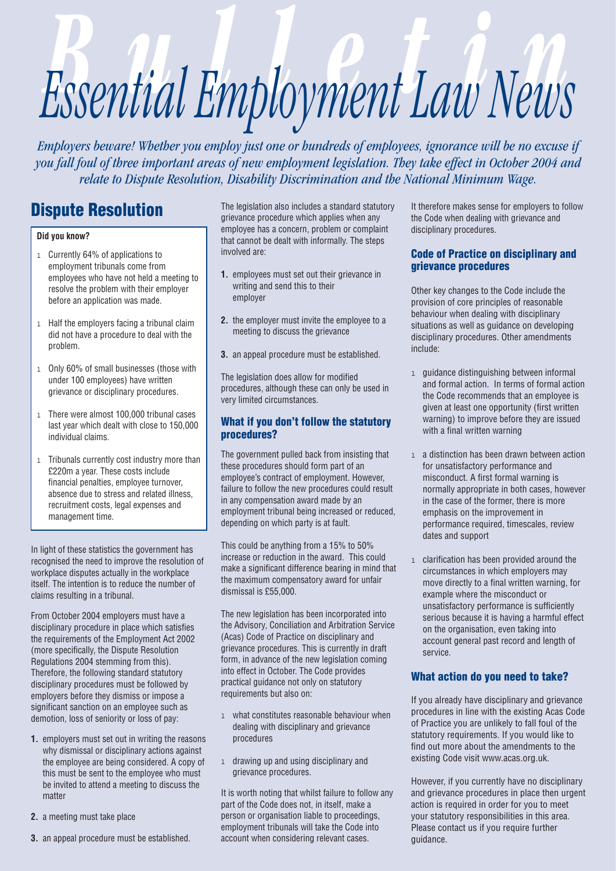# Essential Employment Law News

*Employers beware! Whether you employ just one or hundreds of employees, ignorance will be no excuse if you fall foul of three important areas of new employment legislation. They take effect in October 2004 and relate to Dispute Resolution, Disability Discrimination and the National Minimum Wage.*

# **Dispute Resolution**

### **Did you know?**

- 1 Currently 64% of applications to employment tribunals come from employees who have not held a meeting to resolve the problem with their employer before an application was made.
- 1 Half the employers facing a tribunal claim did not have a procedure to deal with the problem.
- 1 Only 60% of small businesses (those with under 100 employees) have written grievance or disciplinary procedures.
- 1 There were almost 100,000 tribunal cases last year which dealt with close to 150,000 individual claims.
- 1 Tribunals currently cost industry more than £220m a year. These costs include financial penalties, employee turnover, absence due to stress and related illness, recruitment costs, legal expenses and management time.

In light of these statistics the government has recognised the need to improve the resolution of workplace disputes actually in the workplace itself. The intention is to reduce the number of claims resulting in a tribunal.

From October 2004 employers must have a disciplinary procedure in place which satisfies the requirements of the Employment Act 2002 (more specifically, the Dispute Resolution Regulations 2004 stemming from this). Therefore, the following standard statutory disciplinary procedures must be followed by employers before they dismiss or impose a significant sanction on an employee such as demotion, loss of seniority or loss of pay:

- **1.** employers must set out in writing the reasons why dismissal or disciplinary actions against the employee are being considered. A copy of this must be sent to the employee who must be invited to attend a meeting to discuss the matter
- **2.** a meeting must take place
- **3.** an appeal procedure must be established.

The legislation also includes a standard statutory grievance procedure which applies when any employee has a concern, problem or complaint that cannot be dealt with informally. The steps involved are:

- **1.** employees must set out their grievance in writing and send this to their employer
- **2.** the employer must invite the employee to a meeting to discuss the grievance
- **3.** an appeal procedure must be established.

The legislation does allow for modified procedures, although these can only be used in very limited circumstances.

## **What if you don't follow the statutory procedures?**

The government pulled back from insisting that these procedures should form part of an employee's contract of employment. However, failure to follow the new procedures could result in any compensation award made by an employment tribunal being increased or reduced, depending on which party is at fault.

This could be anything from a 15% to 50% increase or reduction in the award. This could make a significant difference bearing in mind that the maximum compensatory award for unfair dismissal is £55,000.

The new legislation has been incorporated into the Advisory, Conciliation and Arbitration Service (Acas) Code of Practice on disciplinary and grievance procedures. This is currently in draft form, in advance of the new legislation coming into effect in October. The Code provides practical guidance not only on statutory requirements but also on:

- 1 what constitutes reasonable behaviour when dealing with disciplinary and grievance procedures
- 1 drawing up and using disciplinary and grievance procedures.

It is worth noting that whilst failure to follow any part of the Code does not, in itself, make a person or organisation liable to proceedings, employment tribunals will take the Code into account when considering relevant cases.

It therefore makes sense for employers to follow the Code when dealing with grievance and disciplinary procedures.

## **Code of Practice on disciplinary and grievance procedures**

Other key changes to the Code include the provision of core principles of reasonable behaviour when dealing with disciplinary situations as well as guidance on developing disciplinary procedures. Other amendments include:

- 1 guidance distinguishing between informal and formal action. In terms of formal action the Code recommends that an employee is given at least one opportunity (first written warning) to improve before they are issued with a final written warning
- 1 a distinction has been drawn between action for unsatisfactory performance and misconduct. A first formal warning is normally appropriate in both cases, however in the case of the former, there is more emphasis on the improvement in performance required, timescales, review dates and support
- 1 clarification has been provided around the circumstances in which employers may move directly to a final written warning, for example where the misconduct or unsatisfactory performance is sufficiently serious because it is having a harmful effect on the organisation, even taking into account general past record and length of service.

# **What action do you need to take?**

If you already have disciplinary and grievance procedures in line with the existing Acas Code of Practice you are unlikely to fall foul of the statutory requirements. If you would like to find out more about the amendments to the existing Code visit www.acas.org.uk.

However, if you currently have no disciplinary and grievance procedures in place then urgent action is required in order for you to meet your statutory responsibilities in this area. Please contact us if you require further guidance.